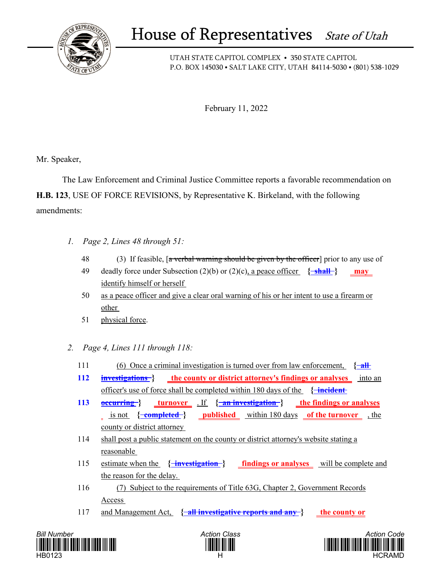

## House of Representatives State of Utah

UTAH STATE CAPITOL COMPLEX • 350 STATE CAPITOL P.O. BOX 145030 • SALT LAKE CITY, UTAH 84114-5030 • (801) 538-1029

February 11, 2022

Mr. Speaker,

 The Law Enforcement and Criminal Justice Committee reports a favorable recommendation on **H.B. 123**, USE OF FORCE REVISIONS, by Representative K. Birkeland, with the following amendments:

- *1. Page 2, Lines 48 through 51:*
	- 48 (3) If feasible, [a verbal warning should be given by the officer] prior to any use of
	- 49 deadly force under Subsection (2)(b) or (2)(c), a peace officer **{ shall } may**  identify himself or herself
	- 50 as a peace officer and give a clear oral warning of his or her intent to use a firearm or other
	- 51 physical force.
- *2. Page 4, Lines 111 through 118:*
	- 111 (6) Once a criminal investigation is turned over from law enforcement, **{ all**
	- **112 investigations } the county or district attorney's findings or analyses** into an officer's use of force shall be completed within 180 days of the **{ incident**
	- **113 <u>occurring</u> } turnover** . If { **an investigation**} **<u>the findings or analyses</u> 1** is not { **completed**} **published within 180 days of the turnover**, the county or district attorney
	- 114 shall post a public statement on the county or district attorney's website stating a reasonable
	- 115 estimate when the **{ investigation } findings or analyses** will be complete and the reason for the delay.
	- 116 (7) Subject to the requirements of Title 63G, Chapter 2, Government Records Access
	- 117 and Management Act, **{ all investigative reports and any } the county or**